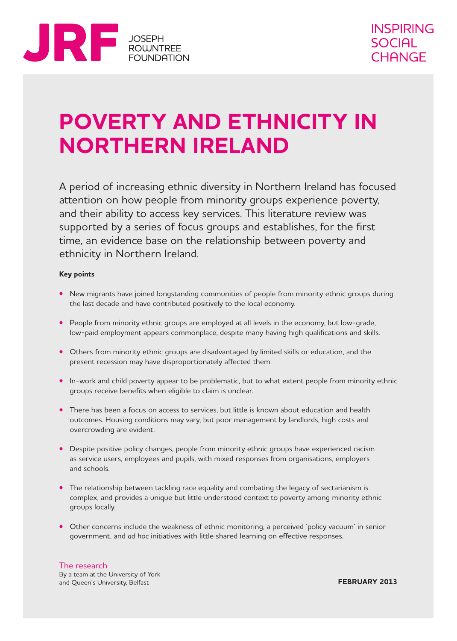

# **POVERTY AND ETHNICITY IN NORTHERN IRELAND**

A period of increasing ethnic diversity in Northern Ireland has focused attention on how people from minority groups experience poverty, and their ability to access key services. This literature review was supported by a series of focus groups and establishes, for the first time, an evidence base on the relationship between poverty and ethnicity in Northern Ireland.

#### **Key points**

- New migrants have joined longstanding communities of people from minority ethnic groups during the last decade and have contributed positively to the local economy.
- People from minority ethnic groups are employed at all levels in the economy, but low-grade, low‑paid employment appears commonplace, despite many having high qualifications and skills.
- **•** Others from minority ethnic groups are disadvantaged by limited skills or education, and the present recession may have disproportionately affected them.
- In-work and child poverty appear to be problematic, but to what extent people from minority ethnic groups receive benefits when eligible to claim is unclear.
- **•** There has been a focus on access to services, but little is known about education and health outcomes. Housing conditions may vary, but poor management by landlords, high costs and overcrowding are evident.
- Despite positive policy changes, people from minority ethnic groups have experienced racism as service users, employees and pupils, with mixed responses from organisations, employers and schools.
- The relationship between tackling race equality and combating the legacy of sectarianism is complex, and provides a unique but little understood context to poverty among minority ethnic groups locally.
- **•** Other concerns include the weakness of ethnic monitoring, a perceived 'policy vacuum' in senior government, and *ad hoc* initiatives with little shared learning on effective responses.

### The research

By a team at the University of York and Queen's University, Belfast

**FEBRUARY 2013**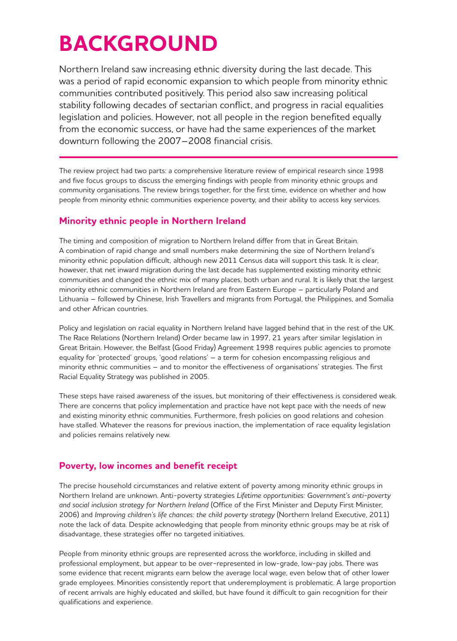# **BACKGROUND**

Northern Ireland saw increasing ethnic diversity during the last decade. This was a period of rapid economic expansion to which people from minority ethnic communities contributed positively. This period also saw increasing political stability following decades of sectarian conflict, and progress in racial equalities legislation and policies. However, not all people in the region benefited equally from the economic success, or have had the same experiences of the market downturn following the 2007–2008 financial crisis.

The review project had two parts: a comprehensive literature review of empirical research since 1998 and five focus groups to discuss the emerging findings with people from minority ethnic groups and community organisations. The review brings together, for the first time, evidence on whether and how people from minority ethnic communities experience poverty, and their ability to access key services.

## **Minority ethnic people in Northern Ireland**

The timing and composition of migration to Northern Ireland differ from that in Great Britain. A combination of rapid change and small numbers make determining the size of Northern Ireland's minority ethnic population difficult, although new 2011 Census data will support this task. It is clear, however, that net inward migration during the last decade has supplemented existing minority ethnic communities and changed the ethnic mix of many places, both urban and rural. It is likely that the largest minority ethnic communities in Northern Ireland are from Eastern Europe – particularly Poland and Lithuania – followed by Chinese, Irish Travellers and migrants from Portugal, the Philippines, and Somalia and other African countries.

Policy and legislation on racial equality in Northern Ireland have lagged behind that in the rest of the UK. The Race Relations (Northern Ireland) Order became law in 1997, 21 years after similar legislation in Great Britain. However, the Belfast (Good Friday) Agreement 1998 requires public agencies to promote equality for 'protected' groups, 'good relations' – a term for cohesion encompassing religious and minority ethnic communities – and to monitor the effectiveness of organisations' strategies. The first Racial Equality Strategy was published in 2005.

These steps have raised awareness of the issues, but monitoring of their effectiveness is considered weak. There are concerns that policy implementation and practice have not kept pace with the needs of new and existing minority ethnic communities. Furthermore, fresh policies on good relations and cohesion have stalled. Whatever the reasons for previous inaction, the implementation of race equality legislation and policies remains relatively new.

## **Poverty, low incomes and benefit receipt**

The precise household circumstances and relative extent of poverty among minority ethnic groups in Northern Ireland are unknown. Anti‑poverty strategies *Lifetime opportunities: Government's anti‑poverty and social inclusion strategy for Northern Ireland* (Office of the First Minister and Deputy First Minister, 2006) and *Improving children's life chances: the child poverty strategy* (Northern Ireland Executive, 2011) note the lack of data. Despite acknowledging that people from minority ethnic groups may be at risk of disadvantage, these strategies offer no targeted initiatives.

People from minority ethnic groups are represented across the workforce, including in skilled and professional employment, but appear to be over-represented in low-grade, low-pay jobs. There was some evidence that recent migrants earn below the average local wage, even below that of other lower grade employees. Minorities consistently report that underemployment is problematic. A large proportion of recent arrivals are highly educated and skilled, but have found it difficult to gain recognition for their qualifications and experience.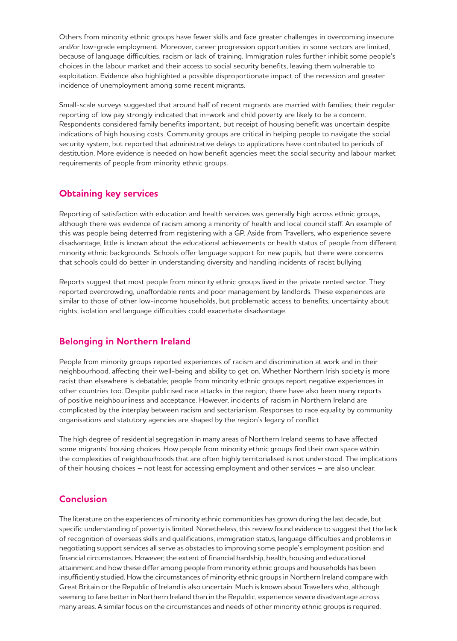Others from minority ethnic groups have fewer skills and face greater challenges in overcoming insecure and/or low‑grade employment. Moreover, career progression opportunities in some sectors are limited, because of language difficulties, racism or lack of training. Immigration rules further inhibit some people's choices in the labour market and their access to social security benefits, leaving them vulnerable to exploitation. Evidence also highlighted a possible disproportionate impact of the recession and greater incidence of unemployment among some recent migrants.

Small-scale surveys suggested that around half of recent migrants are married with families; their regular reporting of low pay strongly indicated that in‑work and child poverty are likely to be a concern. Respondents considered family benefits important, but receipt of housing benefit was uncertain despite indications of high housing costs. Community groups are critical in helping people to navigate the social security system, but reported that administrative delays to applications have contributed to periods of destitution. More evidence is needed on how benefit agencies meet the social security and labour market requirements of people from minority ethnic groups.

#### **Obtaining key services**

Reporting of satisfaction with education and health services was generally high across ethnic groups, although there was evidence of racism among a minority of health and local council staff. An example of this was people being deterred from registering with a GP. Aside from Travellers, who experience severe disadvantage, little is known about the educational achievements or health status of people from different minority ethnic backgrounds. Schools offer language support for new pupils, but there were concerns that schools could do better in understanding diversity and handling incidents of racist bullying.

Reports suggest that most people from minority ethnic groups lived in the private rented sector. They reported overcrowding, unaffordable rents and poor management by landlords. These experiences are similar to those of other low-income households, but problematic access to benefits, uncertainty about rights, isolation and language difficulties could exacerbate disadvantage.

### **Belonging in Northern Ireland**

People from minority groups reported experiences of racism and discrimination at work and in their neighbourhood, affecting their well‑being and ability to get on. Whether Northern Irish society is more racist than elsewhere is debatable; people from minority ethnic groups report negative experiences in other countries too. Despite publicised race attacks in the region, there have also been many reports of positive neighbourliness and acceptance. However, incidents of racism in Northern Ireland are complicated by the interplay between racism and sectarianism. Responses to race equality by community organisations and statutory agencies are shaped by the region's legacy of conflict.

The high degree of residential segregation in many areas of Northern Ireland seems to have affected some migrants' housing choices. How people from minority ethnic groups find their own space within the complexities of neighbourhoods that are often highly territorialised is not understood. The implications of their housing choices – not least for accessing employment and other services – are also unclear.

### **Conclusion**

The literature on the experiences of minority ethnic communities has grown during the last decade, but specific understanding of poverty is limited. Nonetheless, this review found evidence to suggest that the lack of recognition of overseas skills and qualifications, immigration status, language difficulties and problems in negotiating support services all serve as obstacles to improving some people's employment position and financial circumstances. However, the extent of financial hardship, health, housing and educational attainment and how these differ among people from minority ethnic groups and households has been insufficiently studied. How the circumstances of minority ethnic groups in Northern Ireland compare with Great Britain or the Republic of Ireland is also uncertain. Much is known about Travellers who, although seeming to fare better in Northern Ireland than in the Republic, experience severe disadvantage across many areas. A similar focus on the circumstances and needs of other minority ethnic groups is required.